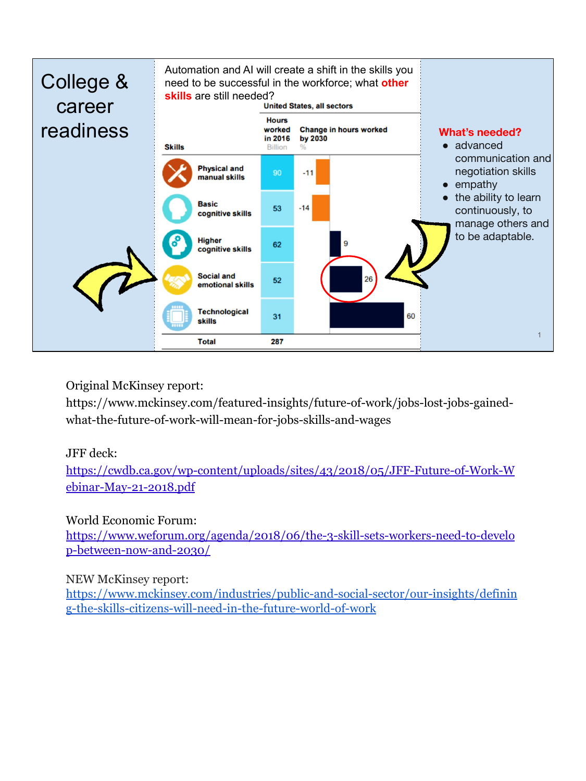

## Original McKinsey report:

https://www.mckinsey.com/featured-insights/future-of-work/jobs-lost-jobs-gainedwhat-the-future-of-work-will-mean-for-jobs-skills-and-wages

## JFF deck[:](https://cwdb.ca.gov/wp-content/uploads/sites/43/2018/05/JFF-Future-of-Work-Webinar-May-21-2018.pdf)

[https://cwdb.ca.gov/wp-content/uploads/sites/43/2018/05/JFF-Future-of-Work-W](https://cwdb.ca.gov/wp-content/uploads/sites/43/2018/05/JFF-Future-of-Work-Webinar-May-21-2018.pdf) [ebinar-May-21-2018.pdf](https://cwdb.ca.gov/wp-content/uploads/sites/43/2018/05/JFF-Future-of-Work-Webinar-May-21-2018.pdf)

## World Economic Forum:

[https://www.weforum.org/agenda/2018/06/the-3-skill-sets-workers-need-to-develo](https://www.weforum.org/agenda/2018/06/the-3-skill-sets-workers-need-to-develop-between-now-and-2030/) [p-between-now-and-2030/](https://www.weforum.org/agenda/2018/06/the-3-skill-sets-workers-need-to-develop-between-now-and-2030/)

## NEW McKinsey report:

[https://www.mckinsey.com/industries/public-and-social-sector/our-insights/definin](https://www.mckinsey.com/industries/public-and-social-sector/our-insights/defining-the-skills-citizens-will-need-in-the-future-world-of-work) [g-the-skills-citizens-will-need-in-the-future-world-of-work](https://www.mckinsey.com/industries/public-and-social-sector/our-insights/defining-the-skills-citizens-will-need-in-the-future-world-of-work)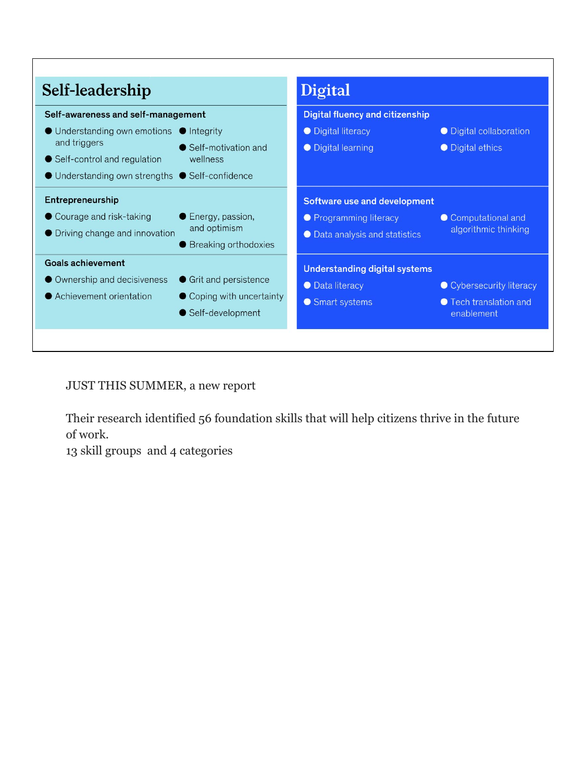| Self-leadership                                                                                                                                                          | Digital                                                                                                                                                  | <b>Digital fluency and citizenship</b>                           |  |
|--------------------------------------------------------------------------------------------------------------------------------------------------------------------------|----------------------------------------------------------------------------------------------------------------------------------------------------------|------------------------------------------------------------------|--|
| Self-awareness and self-management                                                                                                                                       |                                                                                                                                                          |                                                                  |  |
| ● Understanding own emotions ● Integrity<br>and triggers<br>● Self-control and regulation<br>wellness<br>$\bullet$ Understanding own strengths $\bullet$ Self-confidence | • Digital literacy<br>• Self-motivation and<br>• Digital learning                                                                                        | • Digital collaboration<br>• Digital ethics                      |  |
| Entrepreneurship<br>• Courage and risk-taking<br>• Driving change and innovation                                                                                         | Software use and development<br>● Energy, passion,<br>• Programming literacy<br>and optimism<br>● Data analysis and statistics<br>● Breaking orthodoxies | • Computational and<br>algorithmic thinking                      |  |
| <b>Goals achievement</b><br>• Ownership and decisiveness<br>● Achievement orientation                                                                                    | Understanding digital systems<br>● Grit and persistence<br>• Data literacy<br>Coping with uncertainty<br>• Smart systems<br>● Self-development           | • Cybersecurity literacy<br>● Tech translation and<br>enablement |  |

JUST THIS SUMMER, a new report

Their research identified 56 foundation skills that will help citizens thrive in the future of work.

13 skill groups and 4 categories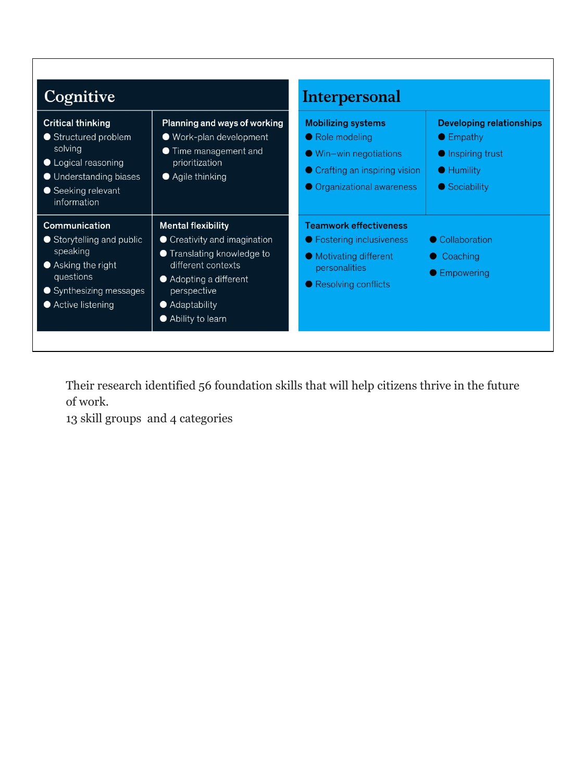| <b>Cognitive</b>                                                                                                                                  |                                                                                                                                                                                              | <b>Interpersonal</b>                                                                                                                           |                                                                                                                  |
|---------------------------------------------------------------------------------------------------------------------------------------------------|----------------------------------------------------------------------------------------------------------------------------------------------------------------------------------------------|------------------------------------------------------------------------------------------------------------------------------------------------|------------------------------------------------------------------------------------------------------------------|
| <b>Critical thinking</b><br>● Structured problem<br>solving<br>• Logical reasoning<br>● Understanding biases<br>● Seeking relevant<br>information | Planning and ways of working<br>● Work-plan development<br>• Time management and<br>prioritization<br>$\bullet$ Agile thinking                                                               | <b>Mobilizing systems</b><br>● Role modeling<br>$\bullet$ Win-win negotiations<br>• Crafting an inspiring vision<br>● Organizational awareness | <b>Developing relationships</b><br>$\bullet$ Empathy<br>● Inspiring trust<br>$\bullet$ Humility<br>● Sociability |
| Communication<br>● Storytelling and public<br>speaking<br>● Asking the right<br>questions<br>● Synthesizing messages<br>● Active listening        | <b>Mental flexibility</b><br>• Creativity and imagination<br>● Translating knowledge to<br>different contexts<br>● Adopting a different<br>perspective<br>• Adaptability<br>Ability to learn | <b>Teamwork effectiveness</b><br>● Fostering inclusiveness<br>• Motivating different<br>personalities<br>● Resolving conflicts                 | • Collaboration<br>Coaching<br>● Empowering                                                                      |

Their research identified 56 foundation skills that will help citizens thrive in the future of work.

13 skill groups and 4 categories